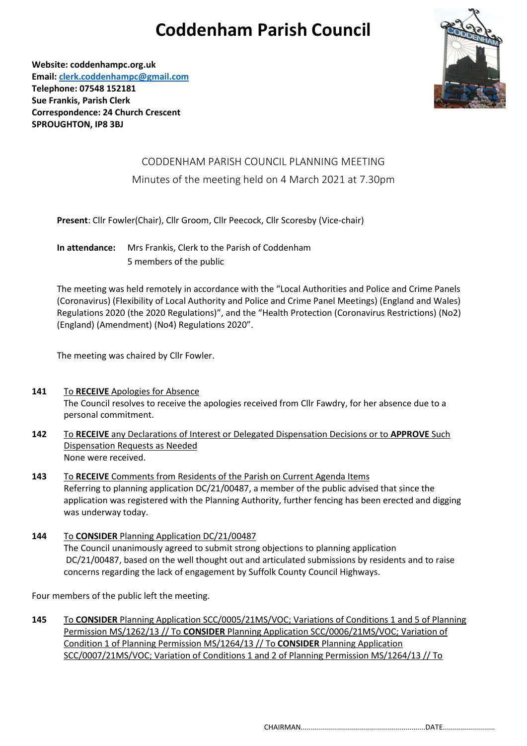## **Coddenham Parish Council**

**Website: coddenhampc.org.uk Email[: clerk.coddenhampc@gmail.com](mailto:clerk.coddenhampc@gmail.com) Telephone: 07548 152181 Sue Frankis, Parish Clerk Correspondence: 24 Church Crescent SPROUGHTON, IP8 3BJ**

## CODDENHAM PARISH COUNCIL PLANNING MEETING Minutes of the meeting held on 4 March 2021 at 7.30pm

**Present**: Cllr Fowler(Chair), Cllr Groom, Cllr Peecock, Cllr Scoresby (Vice-chair)

**In attendance:** Mrs Frankis, Clerk to the Parish of Coddenham 5 members of the public

The meeting was held remotely in accordance with the "Local Authorities and Police and Crime Panels (Coronavirus) (Flexibility of Local Authority and Police and Crime Panel Meetings) (England and Wales) Regulations 2020 (the 2020 Regulations)", and the "Health Protection (Coronavirus Restrictions) (No2) (England) (Amendment) (No4) Regulations 2020".

The meeting was chaired by Cllr Fowler.

- **141** To **RECEIVE** Apologies for Absence The Council resolves to receive the apologies received from Cllr Fawdry, for her absence due to a personal commitment.
- **142** To **RECEIVE** any Declarations of Interest or Delegated Dispensation Decisions or to **APPROVE** Such Dispensation Requests as Needed None were received.
- **143** To **RECEIVE** Comments from Residents of the Parish on Current Agenda Items Referring to planning application DC/21/00487, a member of the public advised that since the application was registered with the Planning Authority, further fencing has been erected and digging was underway today.
- **144** To **CONSIDER** Planning Application DC/21/00487 The Council unanimously agreed to submit strong objections to planning application DC/21/00487, based on the well thought out and articulated submissions by residents and to raise concerns regarding the lack of engagement by Suffolk County Council Highways.

Four members of the public left the meeting.

**145** To **CONSIDER** Planning Application SCC/0005/21MS/VOC; Variations of Conditions 1 and 5 of Planning Permission MS/1262/13 // To **CONSIDER** Planning Application SCC/0006/21MS/VOC; Variation of Condition 1 of Planning Permission MS/1264/13 // To **CONSIDER** Planning Application SCC/0007/21MS/VOC; Variation of Conditions 1 and 2 of Planning Permission MS/1264/13 // To

CHAIRMAN..............................................................DATE..........................